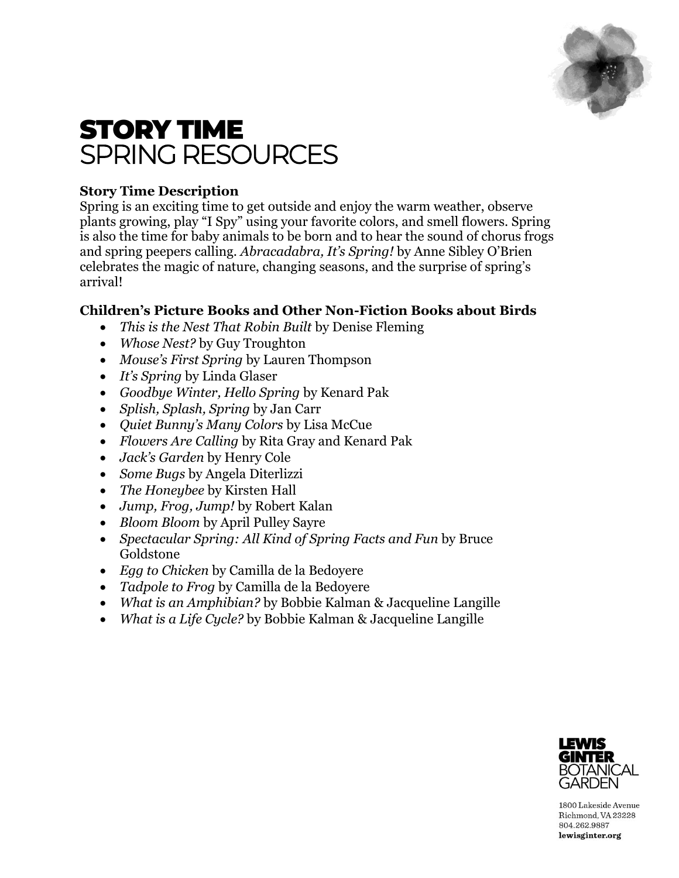

# STORY TIME SPRING RESOURCES

## **Story Time Description**

Spring is an exciting time to get outside and enjoy the warm weather, observe plants growing, play "I Spy" using your favorite colors, and smell flowers. Spring is also the time for baby animals to be born and to hear the sound of chorus frogs and spring peepers calling. *Abracadabra, It's Spring!* by Anne Sibley O'Brien celebrates the magic of nature, changing seasons, and the surprise of spring's arrival!

## **Children's Picture Books and Other Non-Fiction Books about Birds**

- *This is the Nest That Robin Built* by Denise Fleming
- *Whose Nest?* by Guy Troughton
- *Mouse's First Spring* by Lauren Thompson
- *It's Spring* by Linda Glaser
- *Goodbye Winter, Hello Spring* by Kenard Pak
- *Splish, Splash, Spring* by Jan Carr
- *Quiet Bunny's Many Colors* by Lisa McCue
- *Flowers Are Calling* by Rita Gray and Kenard Pak
- *Jack's Garden* by Henry Cole
- *Some Bugs* by Angela Diterlizzi
- *The Honeybee* by Kirsten Hall
- *Jump, Frog, Jump!* by Robert Kalan
- *Bloom Bloom* by April Pulley Sayre
- *Spectacular Spring: All Kind of Spring Facts and Fun* by Bruce Goldstone
- *Egg to Chicken* by Camilla de la Bedoyere
- *Tadpole to Frog* by Camilla de la Bedoyere
- *What is an Amphibian?* by Bobbie Kalman & Jacqueline Langille
- *What is a Life Cycle?* by Bobbie Kalman & Jacqueline Langille



1800 Lakeside Avenue Richmond, VA 23228 804.262.9887 lewisginter.org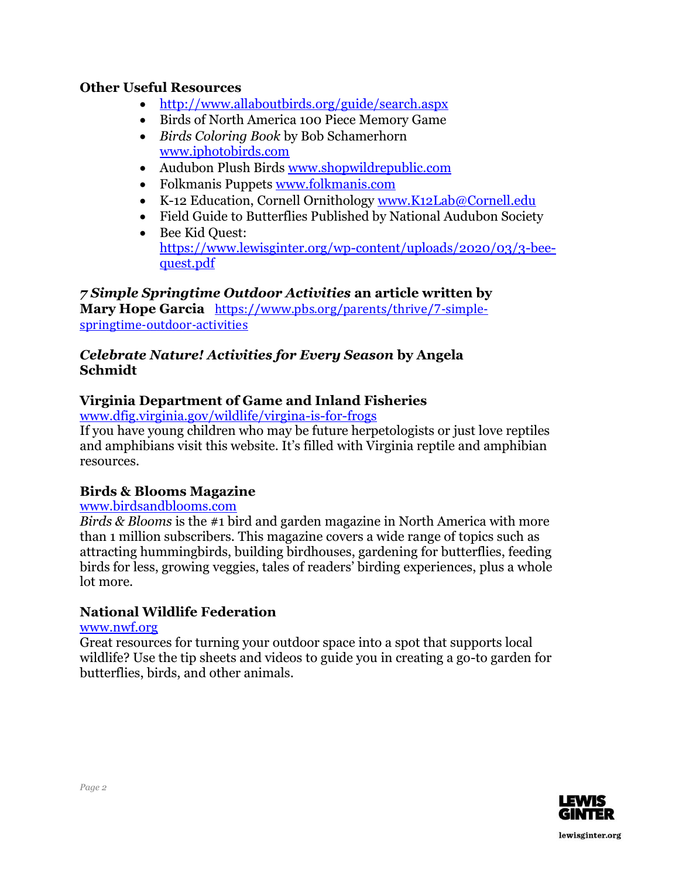### **Other Useful Resources**

- <http://www.allaboutbirds.org/guide/search.aspx>
- Birds of North America 100 Piece Memory Game
- *Birds Coloring Book* by Bob Schamerhorn [www.iphotobirds.com](http://www.iphotobirds.com/)
- Audubon Plush Birds [www.shopwildrepublic.com](http://www.shopwildrepublic.com/)
- Folkmanis Puppets [www.folkmanis.com](http://www.folkmanis.com/)
- K-12 Education, Cornell Ornithology [www.K12Lab@Cornell.edu](http://www.K12Lab@Cornell.edu)
- Field Guide to Butterflies Published by National Audubon Society
- Bee Kid Ouest: [https://www.lewisginter.org/wp-content/uploads/2020/03/3-bee](https://www.lewisginter.org/wp-content/uploads/2020/03/3-bee-quest.pdf)[quest.pdf](https://www.lewisginter.org/wp-content/uploads/2020/03/3-bee-quest.pdf)

### *7 Simple Springtime Outdoor Activities* **an article written by**

**Mary Hope Garcia** [https://www.pbs.org/parents/thrive/7-simple](https://www.pbs.org/parents/thrive/7-simple-springtime-outdoor-activities)[springtime-outdoor-activities](https://www.pbs.org/parents/thrive/7-simple-springtime-outdoor-activities)

#### *Celebrate Nature! Activities for Every Season* **by Angela Schmidt**

### **Virginia Department of Game and Inland Fisheries**

[www.dfig.virginia.gov/wildlife/virgina-is-for-frogs](http://www.dfig.virginia.gov/wildlife/virgina-is-for-frogs)

If you have young children who may be future herpetologists or just love reptiles and amphibians visit this website. It's filled with Virginia reptile and amphibian resources.

#### **Birds & Blooms Magazine**

[www.birdsandblooms.com](http://www.birdsandblooms.com/)

*Birds & Blooms* is the #1 bird and garden magazine in North America with more than 1 million subscribers. This magazine covers a wide range of topics such as attracting hummingbirds, building birdhouses, gardening for butterflies, feeding birds for less, growing veggies, tales of readers' birding experiences, plus a whole lot more.

### **National Wildlife Federation**

[www.nwf.org](http://www.nwf.org/)

Great resources for turning your outdoor space into a spot that supports local wildlife? Use the tip sheets and videos to guide you in creating a go-to garden for butterflies, birds, and other animals.